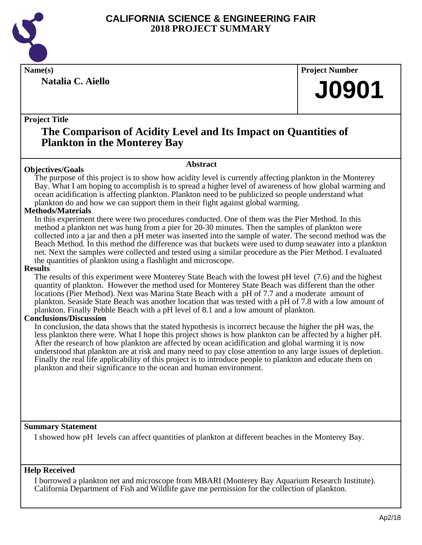

**Natalia C. Aiello**

**Name(s) Project Number**

## **J0901**

### **Project Title**

## **The Comparison of Acidity Level and Its Impact on Quantities of Plankton in the Monterey Bay**

### **Abstract**

**Objectives/Goals** The purpose of this project is to show how acidity level is currently affecting plankton in the Monterey Bay. What I am hoping to accomplish is to spread a higher level of awareness of how global warming and ocean acidification is affecting plankton. Plankton need to be publicized so people understand what plankton do and how we can support them in their fight against global warming.

### **Methods/Materials**

In this experiment there were two procedures conducted. One of them was the Pier Method. In this method a plankton net was hung from a pier for 20-30 minutes. Then the samples of plankton were collected into a jar and then a pH meter was inserted into the sample of water. The second method was the Beach Method. In this method the difference was that buckets were used to dump seawater into a plankton net. Next the samples were collected and tested using a similar procedure as the Pier Method. I evaluated the quantities of plankton using a flashlight and microscope.

### **Results**

The results of this experiment were Monterey State Beach with the lowest pH level (7.6) and the highest quantity of plankton. However the method used for Monterey State Beach was different than the other locations (Pier Method). Next was Marina State Beach with a pH of 7.7 and a moderate amount of plankton. Seaside State Beach was another location that was tested with a pH of 7.8 with a low amount of plankton. Finally Pebble Beach with a pH level of 8.1 and a low amount of plankton.

### **Conclusions/Discussion**

In conclusion, the data shows that the stated hypothesis is incorrect because the higher the pH was, the less plankton there were. What I hope this project shows is how plankton can be affected by a higher pH. After the research of how plankton are affected by ocean acidification and global warming it is now understood that plankton are at risk and many need to pay close attention to any large issues of depletion. Finally the real life applicability of this project is to introduce people to plankton and educate them on plankton and their significance to the ocean and human environment.

### **Summary Statement**

I showed how pH levels can affect quantities of plankton at different beaches in the Monterey Bay.

### **Help Received**

I borrowed a plankton net and microscope from MBARI (Monterey Bay Aquarium Research Institute). California Department of Fish and Wildlife gave me permission for the collection of plankton.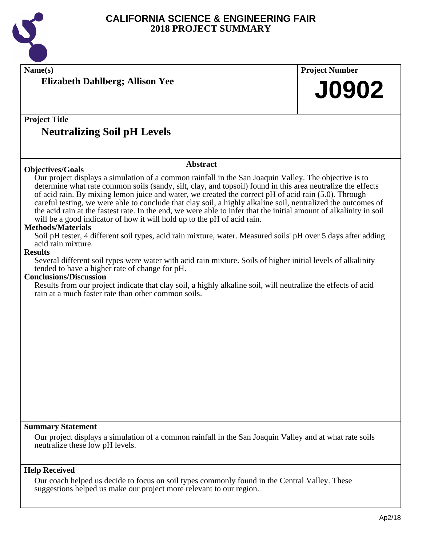

| <b>Project Title</b><br><b>Neutralizing Soil pH Levels</b><br><b>Abstract</b><br><b>Objectives/Goals</b><br>Our project displays a simulation of a common rainfall in the San Joaquin Valley. The objective is to<br>determine what rate common soils (sandy, silt, clay, and topsoil) found in this area neutralize the effects<br>of acid rain. By mixing lemon juice and water, we created the correct pH of acid rain (5.0). Through<br>careful testing, we were able to conclude that clay soil, a highly alkaline soil, neutralized the outcomes of<br>the acid rain at the fastest rate. In the end, we were able to infer that the initial amount of alkalinity in soil<br>will be a good indicator of how it will hold up to the pH of acid rain.<br><b>Methods/Materials</b><br>Soil pH tester, 4 different soil types, acid rain mixture, water. Measured soils' pH over 5 days after adding<br>acid rain mixture.<br><b>Results</b><br>Several different soil types were water with acid rain mixture. Soils of higher initial levels of alkalinity<br>tended to have a higher rate of change for pH.<br><b>Conclusions/Discussion</b><br>Results from our project indicate that clay soil, a highly alkaline soil, will neutralize the effects of acid<br>rain at a much faster rate than other common soils.<br>Our project displays a simulation of a common rainfall in the San Joaquin Valley and at what rate soils | Name(s)<br><b>Elizabeth Dahlberg; Allison Yee</b>                                                                                                                                            | <b>Project Number</b><br><b>J0902</b> |
|---------------------------------------------------------------------------------------------------------------------------------------------------------------------------------------------------------------------------------------------------------------------------------------------------------------------------------------------------------------------------------------------------------------------------------------------------------------------------------------------------------------------------------------------------------------------------------------------------------------------------------------------------------------------------------------------------------------------------------------------------------------------------------------------------------------------------------------------------------------------------------------------------------------------------------------------------------------------------------------------------------------------------------------------------------------------------------------------------------------------------------------------------------------------------------------------------------------------------------------------------------------------------------------------------------------------------------------------------------------------------------------------------------------------------------------|----------------------------------------------------------------------------------------------------------------------------------------------------------------------------------------------|---------------------------------------|
|                                                                                                                                                                                                                                                                                                                                                                                                                                                                                                                                                                                                                                                                                                                                                                                                                                                                                                                                                                                                                                                                                                                                                                                                                                                                                                                                                                                                                                       |                                                                                                                                                                                              |                                       |
|                                                                                                                                                                                                                                                                                                                                                                                                                                                                                                                                                                                                                                                                                                                                                                                                                                                                                                                                                                                                                                                                                                                                                                                                                                                                                                                                                                                                                                       |                                                                                                                                                                                              |                                       |
|                                                                                                                                                                                                                                                                                                                                                                                                                                                                                                                                                                                                                                                                                                                                                                                                                                                                                                                                                                                                                                                                                                                                                                                                                                                                                                                                                                                                                                       |                                                                                                                                                                                              |                                       |
|                                                                                                                                                                                                                                                                                                                                                                                                                                                                                                                                                                                                                                                                                                                                                                                                                                                                                                                                                                                                                                                                                                                                                                                                                                                                                                                                                                                                                                       |                                                                                                                                                                                              |                                       |
|                                                                                                                                                                                                                                                                                                                                                                                                                                                                                                                                                                                                                                                                                                                                                                                                                                                                                                                                                                                                                                                                                                                                                                                                                                                                                                                                                                                                                                       |                                                                                                                                                                                              |                                       |
|                                                                                                                                                                                                                                                                                                                                                                                                                                                                                                                                                                                                                                                                                                                                                                                                                                                                                                                                                                                                                                                                                                                                                                                                                                                                                                                                                                                                                                       |                                                                                                                                                                                              |                                       |
|                                                                                                                                                                                                                                                                                                                                                                                                                                                                                                                                                                                                                                                                                                                                                                                                                                                                                                                                                                                                                                                                                                                                                                                                                                                                                                                                                                                                                                       |                                                                                                                                                                                              |                                       |
|                                                                                                                                                                                                                                                                                                                                                                                                                                                                                                                                                                                                                                                                                                                                                                                                                                                                                                                                                                                                                                                                                                                                                                                                                                                                                                                                                                                                                                       | <b>Summary Statement</b>                                                                                                                                                                     |                                       |
|                                                                                                                                                                                                                                                                                                                                                                                                                                                                                                                                                                                                                                                                                                                                                                                                                                                                                                                                                                                                                                                                                                                                                                                                                                                                                                                                                                                                                                       | <b>Help Received</b><br>Our coach helped us decide to focus on soil types commonly found in the Central Valley. These<br>suggestions helped us make our project more relevant to our region. |                                       |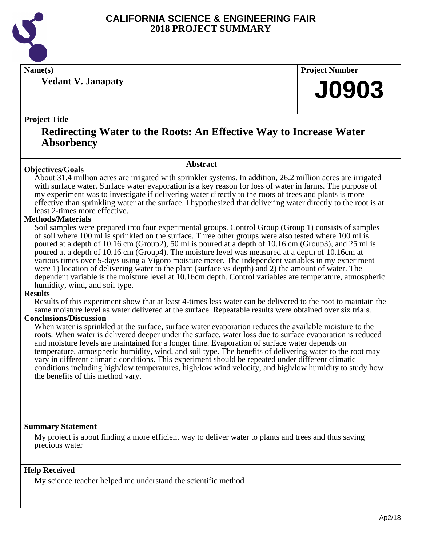

**Vedant V. Janapaty**

**Name(s) Project Number**

## **J0903**

### **Project Title**

### **Redirecting Water to the Roots: An Effective Way to Increase Water Absorbency**

### **Abstract**

**Objectives/Goals** About 31.4 million acres are irrigated with sprinkler systems. In addition, 26.2 million acres are irrigated with surface water. Surface water evaporation is a key reason for loss of water in farms. The purpose of my experiment was to investigate if delivering water directly to the roots of trees and plants is more effective than sprinkling water at the surface. I hypothesized that delivering water directly to the root is at least 2-times more effective.

### **Methods/Materials**

Soil samples were prepared into four experimental groups. Control Group (Group 1) consists of samples of soil where 100 ml is sprinkled on the surface. Three other groups were also tested where 100 ml is poured at a depth of 10.16 cm (Group2), 50 ml is poured at a depth of 10.16 cm (Group3), and 25 ml is poured at a depth of 10.16 cm (Group4). The moisture level was measured at a depth of 10.16cm at various times over 5-days using a Vigoro moisture meter. The independent variables in my experiment were 1) location of delivering water to the plant (surface vs depth) and 2) the amount of water. The dependent variable is the moisture level at 10.16cm depth. Control variables are temperature, atmospheric humidity, wind, and soil type.

### **Results**

Results of this experiment show that at least 4-times less water can be delivered to the root to maintain the same moisture level as water delivered at the surface. Repeatable results were obtained over six trials.

### **Conclusions/Discussion**

When water is sprinkled at the surface, surface water evaporation reduces the available moisture to the roots. When water is delivered deeper under the surface, water loss due to surface evaporation is reduced and moisture levels are maintained for a longer time. Evaporation of surface water depends on temperature, atmospheric humidity, wind, and soil type. The benefits of delivering water to the root may vary in different climatic conditions. This experiment should be repeated under different climatic conditions including high/low temperatures, high/low wind velocity, and high/low humidity to study how the benefits of this method vary.

### **Summary Statement**

My project is about finding a more efficient way to deliver water to plants and trees and thus saving precious water

### **Help Received**

My science teacher helped me understand the scientific method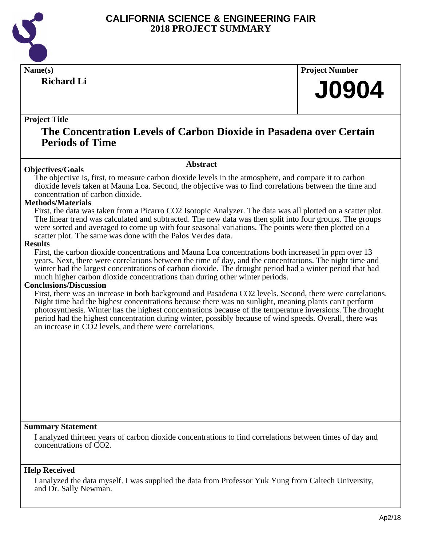

**Richard Li**

**Name(s) Project Number**

## **J0904**

### **Project Title**

### **The Concentration Levels of Carbon Dioxide in Pasadena over Certain Periods of Time**

### **Abstract**

The objective is, first, to measure carbon dioxide levels in the atmosphere, and compare it to carbon dioxide levels taken at Mauna Loa. Second, the objective was to find correlations between the time and concentration of carbon dioxide.

### **Methods/Materials**

**Objectives/Goals**

First, the data was taken from a Picarro CO2 Isotopic Analyzer. The data was all plotted on a scatter plot. The linear trend was calculated and subtracted. The new data was then split into four groups. The groups were sorted and averaged to come up with four seasonal variations. The points were then plotted on a scatter plot. The same was done with the Palos Verdes data.

### **Results**

First, the carbon dioxide concentrations and Mauna Loa concentrations both increased in ppm over 13 years. Next, there were correlations between the time of day, and the concentrations. The night time and winter had the largest concentrations of carbon dioxide. The drought period had a winter period that had much higher carbon dioxide concentrations than during other winter periods.

### **Conclusions/Discussion**

First, there was an increase in both background and Pasadena CO2 levels. Second, there were correlations. Night time had the highest concentrations because there was no sunlight, meaning plants can't perform photosynthesis. Winter has the highest concentrations because of the temperature inversions. The drought period had the highest concentration during winter, possibly because of wind speeds. Overall, there was an increase in CO2 levels, and there were correlations.

### **Summary Statement**

I analyzed thirteen years of carbon dioxide concentrations to find correlations between times of day and concentrations of CO2.

### **Help Received**

I analyzed the data myself. I was supplied the data from Professor Yuk Yung from Caltech University, and Dr. Sally Newman.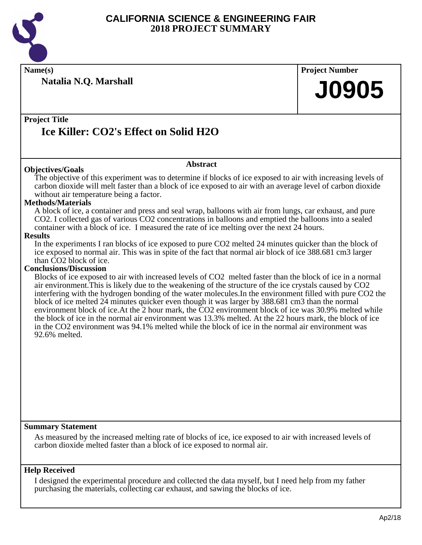

**Name(s) Project Number**

**Natalia N.Q. Marshall**

# **J0905**

### **Project Title Ice Killer: CO2's Effect on Solid H2O**

### **Objectives/Goals**

### **Abstract**

The objective of this experiment was to determine if blocks of ice exposed to air with increasing levels of carbon dioxide will melt faster than a block of ice exposed to air with an average level of carbon dioxide without air temperature being a factor.

### **Methods/Materials**

A block of ice, a container and press and seal wrap, balloons with air from lungs, car exhaust, and pure CO2. I collected gas of various CO2 concentrations in balloons and emptied the balloons into a sealed container with a block of ice. I measured the rate of ice melting over the next 24 hours.

### **Results**

In the experiments I ran blocks of ice exposed to pure CO2 melted 24 minutes quicker than the block of ice exposed to normal air. This was in spite of the fact that normal air block of ice 388.681 cm3 larger than CO2 block of ice.

### **Conclusions/Discussion**

Blocks of ice exposed to air with increased levels of CO2 melted faster than the block of ice in a normal air environment.This is likely due to the weakening of the structure of the ice crystals caused by CO2 interfering with the hydrogen bonding of the water molecules.In the environment filled with pure CO2 the block of ice melted 24 minutes quicker even though it was larger by 388.681 cm3 than the normal environment block of ice.At the 2 hour mark, the CO2 environment block of ice was 30.9% melted while the block of ice in the normal air environment was 13.3% melted. At the 22 hours mark, the block of ice in the CO2 environment was 94.1% melted while the block of ice in the normal air environment was 92.6% melted.

### **Summary Statement**

As measured by the increased melting rate of blocks of ice, ice exposed to air with increased levels of carbon dioxide melted faster than a block of ice exposed to normal air.

### **Help Received**

I designed the experimental procedure and collected the data myself, but I need help from my father purchasing the materials, collecting car exhaust, and sawing the blocks of ice.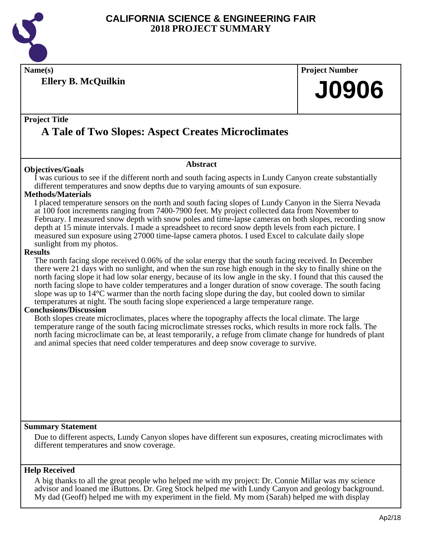

**Name(s) Project Number**

**Ellery B. McQuilkin**

### **Project Title**

## **A Tale of Two Slopes: Aspect Creates Microclimates**

### **Objectives/Goals**

### **Abstract**

I was curious to see if the different north and south facing aspects in Lundy Canyon create substantially different temperatures and snow depths due to varying amounts of sun exposure.

### **Methods/Materials**

I placed temperature sensors on the north and south facing slopes of Lundy Canyon in the Sierra Nevada at 100 foot increments ranging from 7400-7900 feet. My project collected data from November to February. I measured snow depth with snow poles and time-lapse cameras on both slopes, recording snow depth at 15 minute intervals. I made a spreadsheet to record snow depth levels from each picture. I measured sun exposure using 27000 time-lapse camera photos. I used Excel to calculate daily slope sunlight from my photos.

### **Results**

The north facing slope received 0.06% of the solar energy that the south facing received. In December there were 21 days with no sunlight, and when the sun rose high enough in the sky to finally shine on the north facing slope it had low solar energy, because of its low angle in the sky. I found that this caused the north facing slope to have colder temperatures and a longer duration of snow coverage. The south facing slope was up to 14°C warmer than the north facing slope during the day, but cooled down to similar temperatures at night. The south facing slope experienced a large temperature range.

### **Conclusions/Discussion**

Both slopes create microclimates, places where the topography affects the local climate. The large temperature range of the south facing microclimate stresses rocks, which results in more rock falls. The north facing microclimate can be, at least temporarily, a refuge from climate change for hundreds of plant and animal species that need colder temperatures and deep snow coverage to survive.

### **Summary Statement**

Due to different aspects, Lundy Canyon slopes have different sun exposures, creating microclimates with different temperatures and snow coverage.

### **Help Received**

A big thanks to all the great people who helped me with my project: Dr. Connie Millar was my science advisor and loaned me iButtons. Dr. Greg Stock helped me with Lundy Canyon and geology background. My dad (Geoff) helped me with my experiment in the field. My mom (Sarah) helped me with display

**J0906**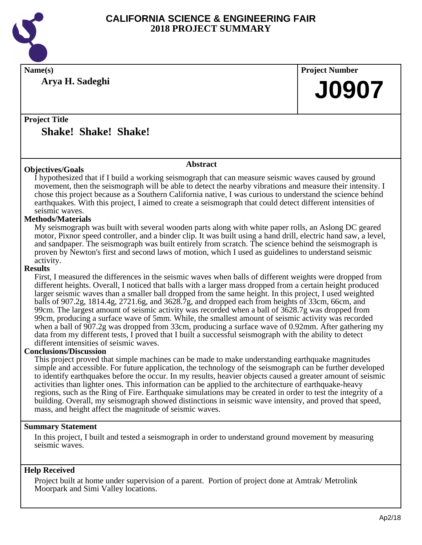

**Arya H. Sadeghi**

**Name(s) Project Number**

## **J0907**

**Project Title Shake! Shake! Shake!**

### **Abstract**

**Objectives/Goals** I hypothesized that if I build a working seismograph that can measure seismic waves caused by ground movement, then the seismograph will be able to detect the nearby vibrations and measure their intensity. I chose this project because as a Southern California native, I was curious to understand the science behind earthquakes. With this project, I aimed to create a seismograph that could detect different intensities of seismic waves.

### **Methods/Materials**

My seismograph was built with several wooden parts along with white paper rolls, an Aslong DC geared motor, Pixnor speed controller, and a binder clip. It was built using a hand drill, electric hand saw, a level, and sandpaper. The seismograph was built entirely from scratch. The science behind the seismograph is proven by Newton's first and second laws of motion, which I used as guidelines to understand seismic activity.

### **Results**

First, I measured the differences in the seismic waves when balls of different weights were dropped from different heights. Overall, I noticed that balls with a larger mass dropped from a certain height produced larger seismic waves than a smaller ball dropped from the same height. In this project, I used weighted balls of 907.2g, 1814.4g, 2721.6g, and 3628.7g, and dropped each from heights of 33cm, 66cm, and 99cm. The largest amount of seismic activity was recorded when a ball of 3628.7g was dropped from 99cm, producing a surface wave of 5mm. While, the smallest amount of seismic activity was recorded when a ball of 907.2g was dropped from 33cm, producing a surface wave of 0.92mm. After gathering my data from my different tests, I proved that I built a successful seismograph with the ability to detect different intensities of seismic waves.

### **Conclusions/Discussion**

This project proved that simple machines can be made to make understanding earthquake magnitudes simple and accessible. For future application, the technology of the seismograph can be further developed to identify earthquakes before the occur. In my results, heavier objects caused a greater amount of seismic activities than lighter ones. This information can be applied to the architecture of earthquake-heavy regions, such as the Ring of Fire. Earthquake simulations may be created in order to test the integrity of a building. Overall, my seismograph showed distinctions in seismic wave intensity, and proved that speed, mass, and height affect the magnitude of seismic waves.

### **Summary Statement**

In this project, I built and tested a seismograph in order to understand ground movement by measuring seismic waves.

### **Help Received**

Project built at home under supervision of a parent. Portion of project done at Amtrak/ Metrolink Moorpark and Simi Valley locations.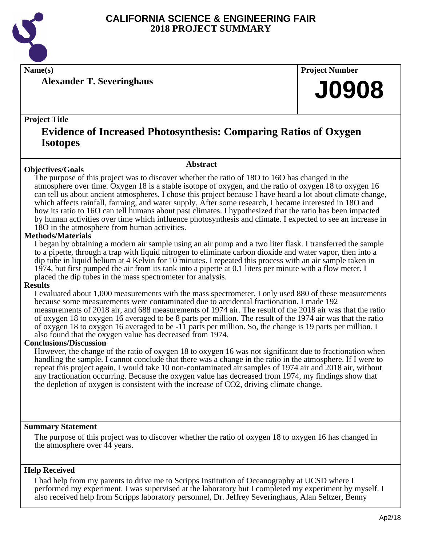

**Name(s) Project Number**

**Alexander T. Severinghaus**

### **Project Title**

## **Evidence of Increased Photosynthesis: Comparing Ratios of Oxygen Isotopes**

### **Objectives/Goals**

**Abstract**

The purpose of this project was to discover whether the ratio of 18O to 16O has changed in the atmosphere over time. Oxygen 18 is a stable isotope of oxygen, and the ratio of oxygen 18 to oxygen 16 can tell us about ancient atmospheres. I chose this project because I have heard a lot about climate change, which affects rainfall, farming, and water supply. After some research, I became interested in 18O and how its ratio to 16O can tell humans about past climates. I hypothesized that the ratio has been impacted by human activities over time which influence photosynthesis and climate. I expected to see an increase in 18O in the atmosphere from human activities.

### **Methods/Materials**

I began by obtaining a modern air sample using an air pump and a two liter flask. I transferred the sample to a pipette, through a trap with liquid nitrogen to eliminate carbon dioxide and water vapor, then into a dip tube in liquid helium at 4 Kelvin for 10 minutes. I repeated this process with an air sample taken in 1974, but first pumped the air from its tank into a pipette at 0.1 liters per minute with a flow meter. I placed the dip tubes in the mass spectrometer for analysis.

### **Results**

I evaluated about 1,000 measurements with the mass spectrometer. I only used 880 of these measurements because some measurements were contaminated due to accidental fractionation. I made 192 measurements of 2018 air, and 688 measurements of 1974 air. The result of the 2018 air was that the ratio of oxygen 18 to oxygen 16 averaged to be 8 parts per million. The result of the 1974 air was that the ratio of oxygen 18 to oxygen 16 averaged to be -11 parts per million. So, the change is 19 parts per million. I also found that the oxygen value has decreased from 1974.

### **Conclusions/Discussion**

However, the change of the ratio of oxygen 18 to oxygen 16 was not significant due to fractionation when handling the sample. I cannot conclude that there was a change in the ratio in the atmosphere. If I were to repeat this project again, I would take 10 non-contaminated air samples of 1974 air and 2018 air, without any fractionation occurring. Because the oxygen value has decreased from 1974, my findings show that the depletion of oxygen is consistent with the increase of CO2, driving climate change.

### **Summary Statement**

The purpose of this project was to discover whether the ratio of oxygen 18 to oxygen 16 has changed in the atmosphere over 44 years.

### **Help Received**

I had help from my parents to drive me to Scripps Institution of Oceanography at UCSD where I performed my experiment. I was supervised at the laboratory but I completed my experiment by myself. I also received help from Scripps laboratory personnel, Dr. Jeffrey Severinghaus, Alan Seltzer, Benny

**J0908**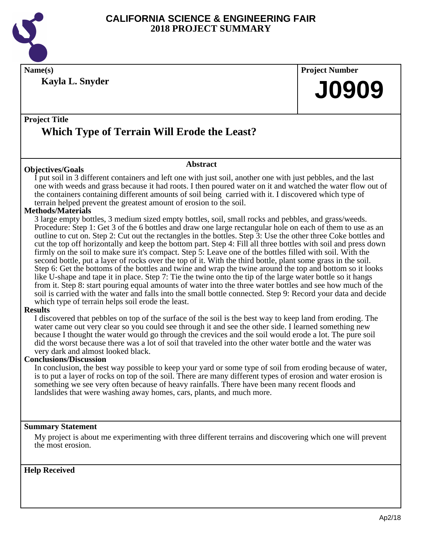

**Name(s) Project Number Kayla L. Snyder**

**J0909**

### **Project Title Which Type of Terrain Will Erode the Least?**

### **Abstract**

**Objectives/Goals** I put soil in 3 different containers and left one with just soil, another one with just pebbles, and the last one with weeds and grass because it had roots. I then poured water on it and watched the water flow out of the containers containing different amounts of soil being carried with it. I discovered which type of terrain helped prevent the greatest amount of erosion to the soil.

### **Methods/Materials**

3 large empty bottles, 3 medium sized empty bottles, soil, small rocks and pebbles, and grass/weeds. Procedure: Step 1: Get 3 of the 6 bottles and draw one large rectangular hole on each of them to use as an outline to cut on. Step 2: Cut out the rectangles in the bottles. Step 3: Use the other three Coke bottles and cut the top off horizontally and keep the bottom part. Step 4: Fill all three bottles with soil and press down firmly on the soil to make sure it's compact. Step 5: Leave one of the bottles filled with soil. With the second bottle, put a layer of rocks over the top of it. With the third bottle, plant some grass in the soil. Step 6: Get the bottoms of the bottles and twine and wrap the twine around the top and bottom so it looks like U-shape and tape it in place. Step 7: Tie the twine onto the tip of the large water bottle so it hangs from it. Step 8: start pouring equal amounts of water into the three water bottles and see how much of the soil is carried with the water and falls into the small bottle connected. Step 9: Record your data and decide which type of terrain helps soil erode the least.

### **Results**

I discovered that pebbles on top of the surface of the soil is the best way to keep land from eroding. The water came out very clear so you could see through it and see the other side. I learned something new because I thought the water would go through the crevices and the soil would erode a lot. The pure soil did the worst because there was a lot of soil that traveled into the other water bottle and the water was very dark and almost looked black.

### **Conclusions/Discussion**

In conclusion, the best way possible to keep your yard or some type of soil from eroding because of water, is to put a layer of rocks on top of the soil. There are many different types of erosion and water erosion is something we see very often because of heavy rainfalls. There have been many recent floods and landslides that were washing away homes, cars, plants, and much more.

### **Summary Statement**

My project is about me experimenting with three different terrains and discovering which one will prevent the most erosion.

### **Help Received**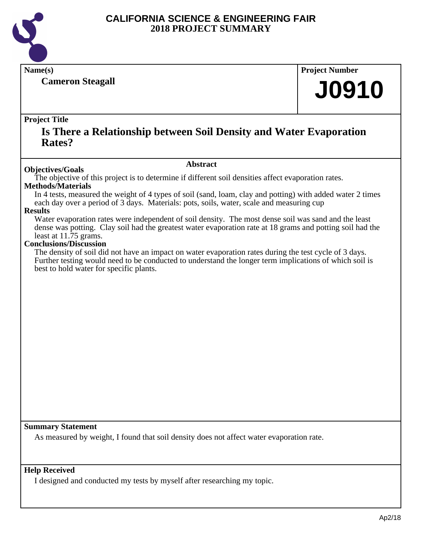

**Cameron Steagall**

**Name(s) Project Number**

# **J0910**

### **Project Title**

### **Is There a Relationship between Soil Density and Water Evaporation Rates?**

### **Abstract**

**Objectives/Goals** The objective of this project is to determine if different soil densities affect evaporation rates.

### **Methods/Materials**

In 4 tests, measured the weight of 4 types of soil (sand, loam, clay and potting) with added water 2 times each day over a period of 3 days. Materials: pots, soils, water, scale and measuring cup

### **Results**

Water evaporation rates were independent of soil density. The most dense soil was sand and the least dense was potting. Clay soil had the greatest water evaporation rate at 18 grams and potting soil had the least at 11.75 grams.

### **Conclusions/Discussion**

The density of soil did not have an impact on water evaporation rates during the test cycle of 3 days. Further testing would need to be conducted to understand the longer term implications of which soil is best to hold water for specific plants.

### **Summary Statement**

As measured by weight, I found that soil density does not affect water evaporation rate.

### **Help Received**

I designed and conducted my tests by myself after researching my topic.